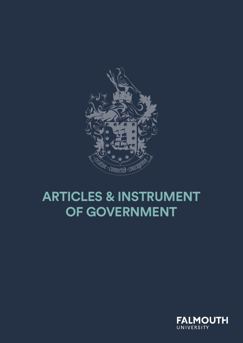

# **ARTICLES & INSTRUMENT OF GOVERNMENT**

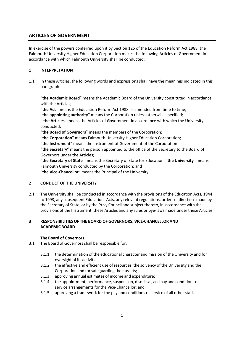# **ARTICLES OF GOVERNMENT**

In exercise of the powers conferred upon it by Section 125 of the Education Reform Act 1988, the Falmouth University Higher Education Corporation makes the following Articles of Government in accordance with which Falmouth University shall be conducted:

# **1 INTERPRETATION**

1.1 In these Articles, the following words and expressions shall have the meanings indicated in this paragraph:

"**the Academic Board**" means the Academic Board of the University constituted in accordance with the Articles;

"**the Act**" means the Education Reform Act 1988 as amended from time to time;

"**the appointing authority**" means the Corporation unless otherwise specified;

"**the Articles**" means the Articles of Government in accordance with which the University is conducted;

"**the Board of Governors**" means the members of the Corporation;

"**the Corporation**" means Falmouth University Higher Education Corporation;

"**the Instrument**" means the Instrument of Government of the Corporation

"**the Secretary**" means the person appointed to the office of the Secretary to the Board of Governors under the Articles;

"**the Secretary of State**" means the Secretary of State for Education. "**the University**" means Falmouth University conducted by the Corporation; and

"**the Vice-Chancellor**" means the Principal of the University.

## **2 CONDUCT OF THE UNIVERSITY**

2.1 The University shall be conducted in accordance with the provisions of the Education Acts, 1944 to 1993, any subsequent Educations Acts, any relevant regulations, orders or directions made by the Secretary of State, or by the Privy Council and subject thereto, in accordance with the provisions of the Instrument, these Articles and any rules or bye-laws made under these Articles.

# **3 RESPONSIBILITIESOF THE BOARD OF GOVERNORS, VICE-CHANCELLOR AND ACADEMIC BOARD**

## **The Board of Governors**

- 3.1 The Board of Governors shall be responsible for:
	- 3.1.1 the determination of the educational character and mission of the University and for oversight of its activities;
	- 3.1.2 the effective and efficient use of resources, the solvency of the University and the Corporation and for safeguarding their assets;
	- 3.1.3 approving annual estimates of income and expenditure;
	- 3.1.4 the appointment, performance, suspension, dismissal, and pay and conditions of service arrangements for the Vice-Chancellor; and
	- 3.1.5 approving a framework for the pay and conditions of service of all other staff.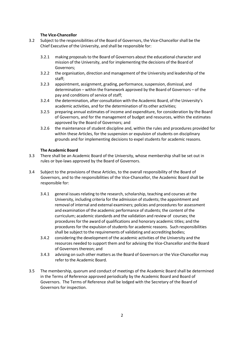# **The Vice-Chancellor**

- 3.2 Subject to the responsibilities of the Board of Governors, the Vice-Chancellor shall be the Chief Executive of the University, and shall be responsible for:
	- 3.2.1 making proposals to the Board of Governors about the educational character and mission of the University, and for implementing the decisions of the Board of Governors;
	- 3.2.2 the organisation, direction and management of the University and leadership of the staff;
	- 3.2.3 appointment, assignment, grading, performance, suspension, dismissal, and determination – within the framework approved by the Board of Governors – of the pay and conditions of service of staff;
	- 3.2.4 the determination, after consultation with the Academic Board, of the University's academic activities, and for the determination of its other activities;
	- 3.2.5 preparing annual estimates of income and expenditure, for consideration by the Board of Governors, and for the management of budget and resources, within the estimates approved by the Board of Governors; and
	- 3.2.6 the maintenance of student discipline and, within the rules and procedures provided for within these Articles, for the suspension or expulsion of students on disciplinary grounds and for implementing decisions to expel students for academic reasons.

# **The Academic Board**

- 3.3 There shall be an Academic Board of the University, whose membership shall be set out in rules or bye-laws approved by the Board of Governors.
- 3.4 Subject to the provisions of these Articles, to the overall responsibility of the Board of Governors, and to the responsibilities of the Vice-Chancellor, the Academic Board shall be responsible for:
	- 3.4.1 general issues relating to the research, scholarship, teaching and courses at the University, including criteria for the admission of students; the appointment and removal of internal and external examiners; policies and procedures for assessment and examination of the academic performance of students; the content of the curriculum; academic standards and the validation and review of courses; the procedures for the award of qualifications and honorary academic titles; and the procedures for the expulsion of students for academic reasons. Such responsibilities shall be subject to the requirements of validating and accrediting bodies;
	- 3.4.2 considering the development of the academic activities of the University and the resources needed to support them and for advising the Vice-Chancellor and the Board of Governors thereon; and
	- 3.4.3 advising on such other matters as the Board of Governors or the Vice-Chancellor may refer to the Academic Board.
- 3.5 The membership, quorum and conduct of meetings of the Academic Board shall be determined in the Terms of Reference approved periodically by the Academic Board and Board of Governors. The Terms of Reference shall be lodged with the Secretary of the Board of Governors for inspection.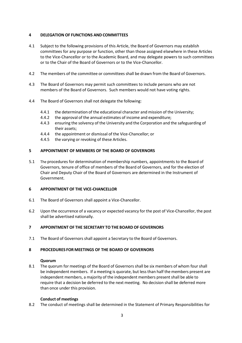# **4 DELEGATION OF FUNCTIONS AND COMMITTEES**

- 4.1 Subject to the following provisions of this Article, the Board of Governors may establish committees for any purpose or function, other than those assigned elsewhere in these Articles to the Vice-Chancellor or to the Academic Board, and may delegate powers to such committees or to the Chair of the Board of Governors or to the Vice-Chancellor.
- 4.2 The members of the committee or committees shall be drawn from the Board of Governors.
- 4.3 The Board of Governors may permit such committees to include persons who are not members of the Board of Governors. Such members would not have voting rights.
- 4.4 The Board of Governors shall not delegate the following:
	- 4.4.1 the determination of the educational character and mission of the University;
	- 4.4.2 the approval of the annual estimates of income and expenditure;
	- 4.4.3 ensuring the solvency of the University and the Corporation and the safeguarding of their assets;
	- 4.4.4 the appointment or dismissal of the Vice-Chancellor; or
	- 4.4.5 the varying or revoking of these Articles.

# **5 APPOINTMENT OF MEMBERS OF THE BOARD OF GOVERNORS**

5.1 The procedures for determination of membership numbers, appointments to the Board of Governors, tenure of office of members of the Board of Governors, and for the election of Chair and Deputy Chair of the Board of Governors are determined in the Instrument of Government.

## **6 APPOINTMENT OF THE VICE-CHANCELLOR**

- 6.1 The Board of Governors shall appoint a Vice-Chancellor.
- 6.2 Upon the occurrence of a vacancy or expected vacancy for the post of Vice-Chancellor, the post shall be advertised nationally.

## **7 APPOINTMENT OF THE SECRETARY TO THE BOARD OF GOVERNORS**

7.1 The Board of Governors shall appoint a Secretary to the Board of Governors.

## **8 PROCEDURES FOR MEETINGS OF THE BOARD OF GOVERNORS**

## **Quorum**

8.1 The quorum for meetings of the Board of Governors shall be six members of whom four shall be independent members. If a meeting is quorate, but less than half the members present are independent members, a majority of the independent members present shall be able to require that a decision be deferred to the next meeting. No decision shall be deferred more than once under this provision.

## **Conduct of meetings**

8.2 The conduct of meetings shall be determined in the Statement of Primary Responsibilities for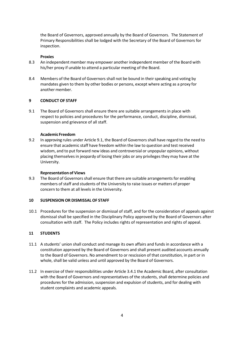the Board of Governors, approved annually by the Board of Governors. The Statement of Primary Responsibilities shall be lodged with the Secretary of the Board of Governors for inspection.

#### **Proxies**

- 8.3 An independent member may empower another independent member of the Board with his/her proxy if unable to attend a particular meeting of the Board.
- 8.4 Members of the Board of Governors shall not be bound in their speaking and voting by mandates given to them by other bodies or persons, except where acting as a proxy for another member.

#### **9 CONDUCT OF STAFF**

9.1 The Board of Governors shall ensure there are suitable arrangements in place with respect to policies and procedures for the performance, conduct, discipline, dismissal, suspension and grievance of all staff.

#### **Academic Freedom**

9.2 In approving rules under Article 9.1, the Board of Governors shall have regard to the need to ensure that academic staff have freedom within the law to question and test received wisdom, and to put forward new ideas and controversial or unpopular opinions, without placing themselves in jeopardy of losing their jobs or any privileges they may have at the University.

#### **Representation of Views**

9.3 The Board of Governors shall ensure that there are suitable arrangements for enabling members of staff and students of the University to raise issues or matters of proper concern to them at all levels in the University.

## **10 SUSPENSION OR DISMISSAL OF STAFF**

10.1 Procedures for the suspension or dismissal of staff, and for the consideration of appeals against dismissal shall be specified in the Disciplinary Policy approved by the Board of Governors after consultation with staff. The Policy includes rights of representation and rights of appeal.

## **11 STUDENTS**

- 11.1 A students' union shall conduct and manage its own affairs and funds in accordance with a constitution approved by the Board of Governors and shall present audited accounts annually to the Board of Governors. No amendment to or rescission of that constitution, in part or in whole, shall be valid unless and until approved by the Board of Governors.
- 11.2 In exercise of their responsibilities under Article 3.4.1 the Academic Board, after consultation with the Board of Governors and representatives of the students, shall determine policies and procedures for the admission, suspension and expulsion of students, and for dealing with student complaints and academic appeals.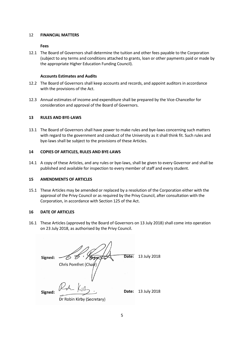#### 12 **FINANCIAL MATTERS**

#### **Fees**

12.1 The Board of Governors shall determine the tuition and other fees payable to the Corporation (subject to any terms and conditions attached to grants, loan or other payments paid or made by the appropriate Higher Education Funding Council).

#### **Accounts Estimates and Audits**

- 12.2 The Board of Governors shall keep accounts and records, and appoint auditors in accordance with the provisions of the Act.
- 12.3 Annual estimates of income and expenditure shall be prepared by the Vice-Chancellor for consideration and approval of the Board of Governors.

#### **13 RULES AND BYE-LAWS**

13.1 The Board of Governors shall have power to make rules and bye-laws concerning such matters with regard to the government and conduct of the University as it shall think fit. Such rules and bye-laws shall be subject to the provisions of these Articles.

#### **14 COPIES OF ARTICLES, RULES AND BYE-LAWS**

14.1 A copy of these Articles, and any rules or bye-laws, shall be given to every Governor and shall be published and available for inspection to every member of staff and every student.

#### **15 AMENDMENTS OF ARTICLES**

15.1 These Articles may be amended or replaced by a resolution of the Corporation either with the approval of the Privy Council or as required by the Privy Council, after consultation with the Corporation, in accordance with Section 125 of the Act.

#### **16 DATE OF ARTICLES**

16.1 These Articles (approved by the Board of Governors on 13 July 2018) shall come into operation on 23 July 2018, as authorised by the Privy Council.

75 G · Tooky **Date:** 13 July 2018 Signed: Chris Pomfret (Chair **Date:** 13 July 2018Signed: Dr Robin Kirby (Secretary)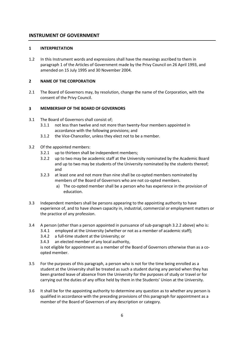# **INSTRUMENT OF GOVERNMENT**

# **1 INTERPRETATION**

1.2 In this Instrument words and expressions shall have the meanings ascribed to them in paragraph 1 of the Articles of Government made by the Privy Council on 26 April 1993, and amended on 15 July 1995 and 30 November 2004.

# **2 NAME OF THE CORPORATION**

2.1 The Board of Governors may, by resolution, change the name of the Corporation, with the consent of the Privy Council.

# **3 MEMBERSHIP OF THE BOARD OF GOVERNORS**

- 3.1 The Board of Governors shall consist of;
	- 3.1.1 not less than twelve and not more than twenty-four members appointed in accordance with the following provisions; and
	- 3.1.2 the Vice-Chancellor, unless they elect not to be a member.
- 3.2 Of the appointed members:
	- 3.2.1 up to thirteen shall be independent members;
	- 3.2.2 up to two may be academic staff at the University nominated by the Academic Board and up to two may be students of the University nominated by the students thereof; and
	- 3.2.3 at least one and not more than nine shall be co-opted members nominated by members of the Board of Governors who are not co-opted members.
		- a) The co-opted member shall be a person who has experience in the provision of education.
- 3.3 Independent members shall be persons appearing to the appointing authority to have experience of, and to have shown capacity in, industrial, commercial or employment matters or the practice of any profession.
- 3.4 A person (other than a person appointed in pursuance of sub-paragraph 3.2.2 above) who is:
	- 3.4.1 employed at the University (whether or not as a member of academic staff);
	- 3.4.2 a full-time student at the University; or
	- 3.4.3 an elected member of any local authority,

is not eligible for appointment as a member of the Board of Governors otherwise than as a coopted member.

- 3.5 For the purposes of this paragraph, a person who is not for the time being enrolled as a student at the University shall be treated as such a student during any period when they has been granted leave of absence from the University for the purposes of study or travel or for carrying out the duties of any office held by them in the Students' Union at the University.
- 3.6 It shall be for the appointing authority to determine any question as to whether any person is qualified in accordance with the preceding provisions of this paragraph for appointment as a member of the Board of Governors of any description or category.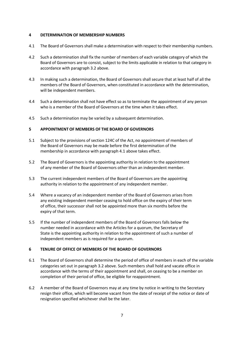# **4 DETERMINATION OF MEMBERSHIP NUMBERS**

- 4.1 The Board of Governors shall make a determination with respect to their membership numbers.
- 4.2 Such a determination shall fix the number of members of each variable category of which the Board of Governors are to consist, subject to the limits applicable in relation to that category in accordance with paragraph 3.2 above.
- 4.3 In making such a determination, the Board of Governors shall secure that at least half of all the members of the Board of Governors, when constituted in accordance with the determination, will be independent members.
- 4.4 Such a determination shall not have effect so as to terminate the appointment of any person who is a member of the Board of Governors at the time when it takes effect.
- 4.5 Such a determination may be varied by a subsequent determination.

# **5 APPOINTMENT OF MEMBERS OF THE BOARD OF GOVERNORS**

- 5.1 Subject to the provisions of section 124C of the Act, no appointment of members of the Board of Governors may be made before the first determination of the membership in accordance with paragraph 4.1 above takes effect.
- 5.2 The Board of Governors is the appointing authority in relation to the appointment of any member of the Board of Governors other than an independent member.
- 5.3 The current independent members of the Board of Governors are the appointing authority in relation to the appointment of any independent member.
- 5.4 Where a vacancy of an independent member of the Board of Governors arises from any existing independent member ceasing to hold office on the expiry of their term of office, their successor shall not be appointed more than six months before the expiry of that term.
- 5.5 If the number of independent members of the Board of Governors falls below the number needed in accordance with the Articles for a quorum, the Secretary of State is the appointing authority in relation to the appointment of such a number of independent members as is required for a quorum.

## **6 TENURE OF OFFICE OF MEMBERS OF THE BOARD OF GOVERNORS**

- 6.1 The Board of Governors shall determine the period of office of members in each of the variable categories set out in paragraph 3.2 above. Such members shall hold and vacate office in accordance with the terms of their appointment and shall, on ceasing to be a member on completion of their period of office, be eligible for reappointment.
- 6.2 A member of the Board of Governors may at any time by notice in writing to the Secretary resign their office, which will become vacant from the date of receipt of the notice or date of resignation specified whichever shall be the later.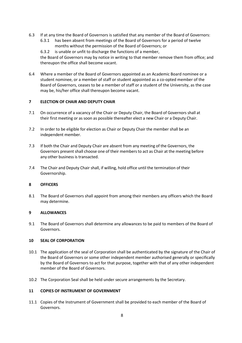- 6.3 If at any time the Board of Governors is satisfied that any member of the Board of Governors:
	- 6.3.1 has been absent from meetings of the Board of Governors for a period of twelve months without the permission of the Board of Governors; or
	- 6.3.2 is unable or unfit to discharge the functions of a member,

the Board of Governors may by notice in writing to that member remove them from office; and thereupon the office shall become vacant.

6.4 Where a member of the Board of Governors appointed as an Academic Board nominee or a student nominee, or a member of staff or student appointed as a co-opted member of the Board of Governors, ceases to be a member of staff or a student of the University, as the case may be, his/her office shall thereupon become vacant.

## **7 ELECTION OF CHAIR AND DEPUTY CHAIR**

- 7.1 On occurrence of a vacancy of the Chair or Deputy Chair, the Board of Governors shall at their first meeting or as soon as possible thereafter elect a new Chair or a Deputy Chair.
- 7.2 In order to be eligible for election as Chair or Deputy Chair the member shall be an independent member.
- 7.3 If both the Chair and Deputy Chair are absent from any meeting of the Governors, the Governors present shall choose one of their membersto act as Chair at the meeting before any other business is transacted.
- 7.4 The Chair and Deputy Chair shall, if willing, hold office until the termination of their Governorship.

# **8 OFFICERS**

8.1 The Board of Governors shall appoint from among their members any officers which the Board may determine.

## **9 ALLOWANCES**

9.1 The Board of Governors shall determine any allowances to be paid to members of the Board of Governors.

## **10 SEAL OF CORPORATION**

- 10.1 The application of the seal of Corporation shall be authenticated by the signature of the Chair of the Board of Governors or some other independent member authorised generally or specifically by the Board of Governors to act for that purpose, together with that of any other independent member of the Board of Governors.
- 10.2 The Corporation Seal shall be held under secure arrangements by the Secretary.

# **11 COPIES OF INSTRUMENT OF GOVERNMENT**

11.1 Copies of the Instrument of Government shall be provided to each member of the Board of Governors.